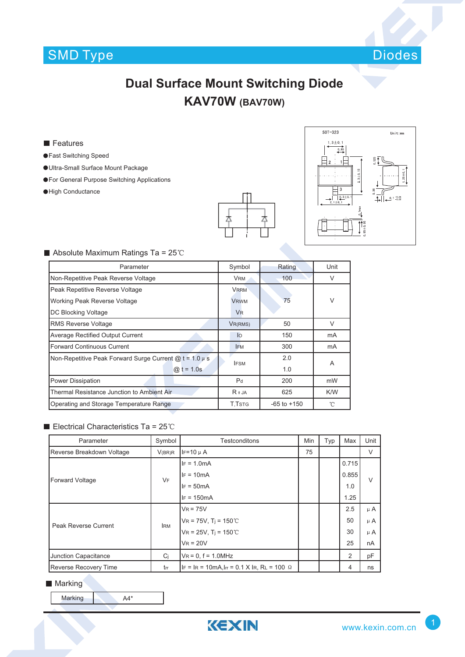

# **Dual Surface Mount Switching Diode KAV70W (BAV70W)**

#### **Features**

- Fast Switching Speed
- Ultra-Small Surface Mount Package
- **For General Purpose Switching Applications**
- High Conductance





### Absolute Maximum Ratings Ta =  $25^{\circ}$ C

| Parameter                                                        | Symbol               | Rating          | Unit   |  |
|------------------------------------------------------------------|----------------------|-----------------|--------|--|
| Non-Repetitive Peak Reverse Voltage                              | <b>VRM</b>           | 100             | V      |  |
| Peak Repetitive Reverse Voltage                                  | <b>VRRM</b>          |                 |        |  |
| Working Peak Reverse Voltage                                     | <b>VRWM</b>          | 75              | V      |  |
| DC Blocking Voltage                                              | <b>V<sub>R</sub></b> |                 |        |  |
| <b>RMS Reverse Voltage</b>                                       | VR(RMS)              | 50              | $\vee$ |  |
| <b>Average Rectified Output Current</b>                          | $\overline{10}$      | 150             | mA     |  |
| <b>Forward Continuous Current</b>                                | <b>IFM</b>           | 300             | mA     |  |
| Non-Repetitive Peak Forward Surge Current $\omega t = 1.0 \mu s$ | <b>IFSM</b>          | 2.0             | A      |  |
| $@:t = 1.0s$                                                     |                      | 1.0             |        |  |
| <b>Power Dissipation</b>                                         | P <sub>d</sub>       | 200             | mW     |  |
| Thermal Resistance Junction to Ambient Air                       | $R \theta$ JA        | 625             | K/W    |  |
| Operating and Storage Temperature Range                          | T.TstG               | $-65$ to $+150$ | °C     |  |

#### Electrical Characteristics Ta =  $25^{\circ}$ C

| Parameter                    | Symbol     | Testconditons                                               | Min | Typ | Max   | Unit    |
|------------------------------|------------|-------------------------------------------------------------|-----|-----|-------|---------|
| Reverse Breakdown Voltage    | V(BR)R     | $IF=10 \mu A$                                               | 75  |     |       | V       |
| <b>Forward Voltage</b>       | <b>VF</b>  | $IF = 1.0mA$                                                |     |     | 0.715 |         |
|                              |            | $IF = 10mA$                                                 |     |     | 0.855 | $\vee$  |
|                              |            | $IF = 50mA$                                                 |     |     | 1.0   |         |
|                              |            | $IF = 150mA$                                                |     |     | 1.25  |         |
| Peak Reverse Current         | <b>IRM</b> | $V_R = 75V$                                                 |     |     | 2.5   | $\mu$ A |
|                              |            | $VR = 75V$ , $Ti = 150^{\circ}$ C                           |     |     | 50    | $\mu$ A |
|                              |            | $VR = 25V$ , $Ti = 150^{\circ}$ C                           |     |     | 30    | $\mu$ A |
|                              |            | $V_R = 20V$                                                 |     |     | 25    | nA      |
| Junction Capacitance         | Ci         | $V_R = 0$ , $f = 1.0$ MHz                                   |     |     | 2     | рF      |
| <b>Reverse Recovery Time</b> | trr        | $ F  =  R  = 10$ mA, $ F  = 0.1$ X $ R$ , RL = 100 $\Omega$ |     |     | 4     | ns      |

#### **Marking**

Marking A4\*

KEXIN